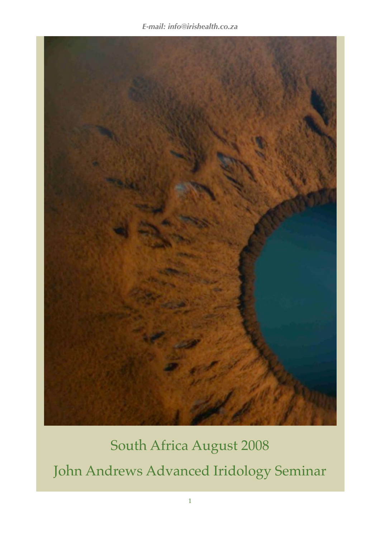

# South Africa August 2008 John Andrews Advanced Iridology Seminar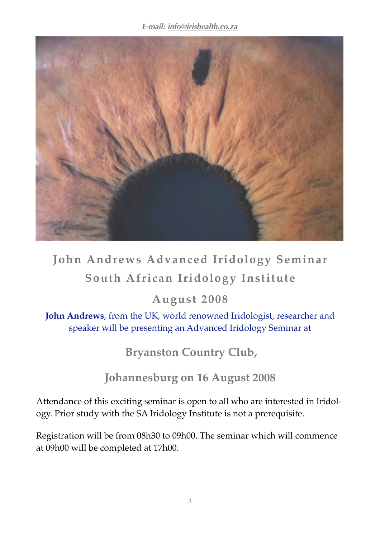

# **John Andrews Advanced Iridology Seminar South African Iridology Institute**

### **August 2008**

**John Andrews**, from the UK, world renowned Iridologist, researcher and speaker will be presenting an Advanced Iridology Seminar at

**Bryanston Country Club,** 

## **Johannesburg on 16 August 2008**

Attendance of this exciting seminar is open to all who are interested in Iridology. Prior study with the SA Iridology Institute is not a prerequisite.

Registration will be from 08h30 to 09h00. The seminar which will commence at 09h00 will be completed at 17h00.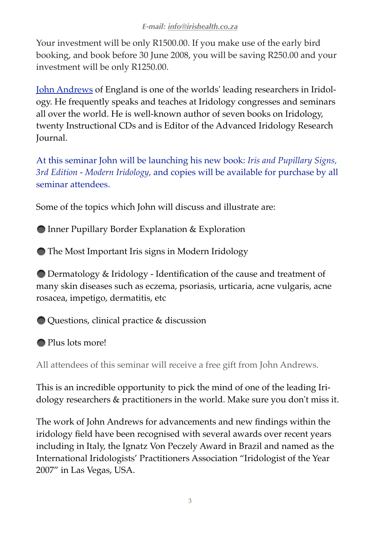Your investment will be only R1500.00. If you make use of the early bird booking, and book before 30 June 2008, you will be saving R250.00 and your investment will be only R1250.00.

[John Andrews](http://www.johnandrewsiridology.net/) of England is one of the worlds' leading researchers in Iridology. He frequently speaks and teaches at Iridology congresses and seminars all over the world. He is well-known author of seven books on Iridology, twenty Instructional CDs and is Editor of the Advanced Iridology Research Journal.

At this seminar John will be launching his new book: *Iris and Pupillary Signs, 3rd Edition - Modern Iridology*, and copies will be available for purchase by all seminar attendees.

Some of the topics which John will discuss and illustrate are:

● Inner Pupillary Border Explanation & Exploration

The Most Important Iris signs in Modern Iridology

 Dermatology & Iridology - Identification of the cause and treatment of many skin diseases such as eczema, psoriasis, urticaria, acne vulgaris, acne rosacea, impetigo, dermatitis, etc

Questions, clinical practice & discussion

● Plus lots more!

All attendees of this seminar will receive a free gift from John Andrews.

This is an incredible opportunity to pick the mind of one of the leading Iridology researchers & practitioners in the world. Make sure you don't miss it.

The work of John Andrews for advancements and new findings within the iridology field have been recognised with several awards over recent years including in Italy, the Ignatz Von Peczely Award in Brazil and named as the International Iridologists' Practitioners Association "Iridologist of the Year 2007" in Las Vegas, USA.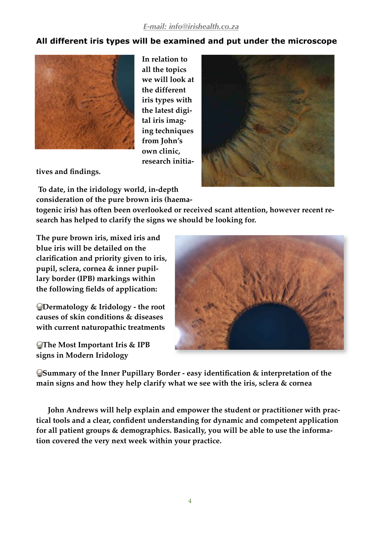#### **All different iris types will be examined and put under the microscope**



**In relation to all the topics we will look at the different iris types with the latest digital iris imaging techniques from John's own clinic, research initia-**

**tives and findings.**

 **To date, in the iridology world, in-depth consideration of the pure brown iris (haema-**

**togenic iris) has often been overlooked or received scant attention, however recent research has helped to clarify the signs we should be looking for.** 

**The pure brown iris, mixed iris and blue iris will be detailed on the clarification and priority given to iris, pupil, sclera, cornea & inner pupillary border (IPB) markings within the following fields of application:**

**Dermatology & Iridology - the root causes of skin conditions & diseases with current naturopathic treatments**

**The Most Important Iris & IPB signs in Modern Iridology**



**Summary of the Inner Pupillary Border - easy identification & interpretation of the main signs and how they help clarify what we see with the iris, sclera & cornea**

**John Andrews will help explain and empower the student or practitioner with practical tools and a clear, confident understanding for dynamic and competent application for all patient groups & demographics. Basically, you will be able to use the information covered the very next week within your practice.**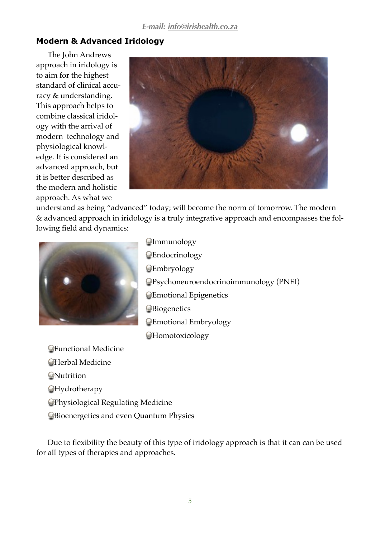#### **Modern & Advanced Iridology**

The John Andrews approach in iridology is to aim for the highest standard of clinical accuracy & understanding. This approach helps to combine classical iridology with the arrival of modern technology and physiological knowledge. It is considered an advanced approach, but it is better described as the modern and holistic approach. As what we



understand as being "advanced" today; will become the norm of tomorrow. The modern & advanced approach in iridology is a truly integrative approach and encompasses the following field and dynamics:



**Olmmunology C**Endocrinology **C**Embryology Psychoneuroendocrinoimmunology (PNEI) Emotional Epigenetics **O**Biogenetics Emotional Embryology *<u></u>*Homotoxicology

Functional Medicine Herbal Medicine **ONutrition** *<u></u>*Hydrotherapy Physiological Regulating Medicine Bioenergetics and even Quantum Physics

Due to flexibility the beauty of this type of iridology approach is that it can can be used for all types of therapies and approaches.